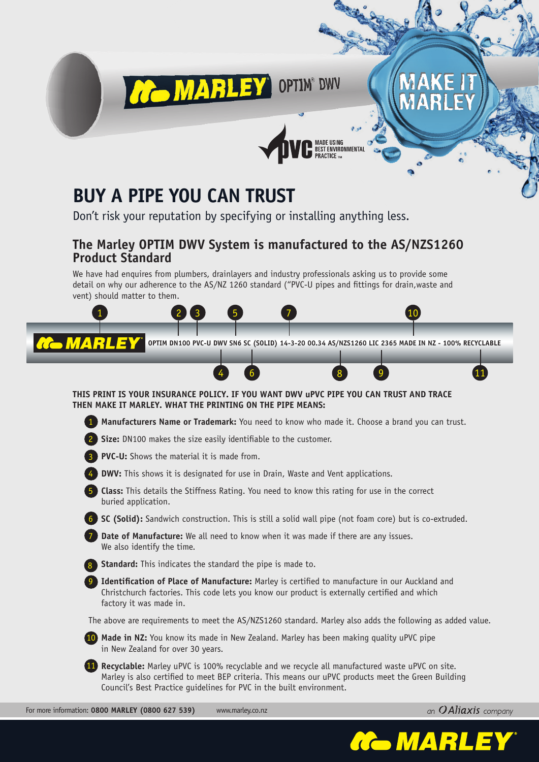

# **Buy a Pipe you Can Trust**

Don't risk your reputation by specifying or installing anything less.

### **The Marley OPTIM DWV System is manufactured to the AS/NZS1260 Product Standard**

We have had enquires from plumbers, drainlayers and industry professionals asking us to provide some detail on why our adherence to the AS/NZ 1260 standard ("PVC-U pipes and fittings for drain,waste and vent) should matter to them.



an  $O$ Aliaxis company